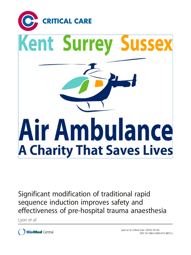

Significant modification of traditional rapid sequence induction improves safety and effectiveness of pre-hospital trauma anaesthesia

Lyon et al.

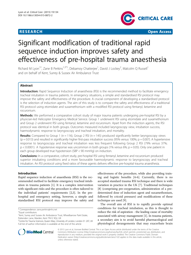

**RESEARCH CHEAR CHEAR CHEAR CHEAR CHEAR CHEAR CHEAR CHEAR CHEAR CHEAR CHEAR CHEAR CHEAR CHEAR CHEAR CHEAR CHEAR** 

# Significant modification of traditional rapid sequence induction improves safety and effectiveness of pre-hospital trauma anaesthesia

Richard M Lyon<sup>1+</sup>, Zane B Perkins<sup>1,3\*†</sup>, Debamoy Chatterjee<sup>1</sup>, David J Lockey<sup>2</sup>, Malcolm Q Russell<sup>1</sup> and on behalf of Kent, Surrey & Sussex Air Ambulance Trust

# Abstract

Introduction: Rapid Sequence Induction of anaesthesia (RSI) is the recommended method to facilitate emergency tracheal intubation in trauma patients. In emergency situations, a simple and standardised RSI protocol may improve the safety and effectiveness of the procedure. A crucial component of developing a standardised protocol is the selection of induction agents. The aim of this study is to compare the safety and effectiveness of a traditional RSI protocol using etomidate and suxamethonium with a modified RSI protocol using fentanyl, ketamine and rocuronium.

Methods: We performed a comparative cohort study of major trauma patients undergoing pre-hospital RSI by a physician-led Helicopter Emergency Medical Service. Group 1 underwent RSI using etomidate and suxamethonium and Group 2 underwent RSI using fentanyl, ketamine and rocuronium. Apart from the induction agents, the RSI protocol was identical in both groups. Outcomes measured included laryngoscopy view, intubation success, haemodynamic response to laryngoscopy and tracheal intubation, and mortality.

**Results:** Compared to Group 1 ( $n = 116$ ), Group 2 RSI ( $n = 145$ ) produced significantly better laryngoscopy views  $(p = 0.013)$  and resulted in significantly higher first-pass intubation success (95% versus 100%;  $p = 0.007$ ). A hypertensive response to laryngoscopy and tracheal intubation was less frequent following Group 2 RSI (79% versus 37%; p < 0.0001). A hypotensive response was uncommon in both groups (1% versus 6%; p = 0.05). Only one patient in each group developed true hypotension (SBP < 90 mmHg) on induction.

**Conclusions:** In a comparative, cohort study, pre-hospital RSI using fentanyl, ketamine and rocuronium produced superior intubating conditions and a more favourable haemodynamic response to laryngoscopy and tracheal intubation. An RSI protocol using fixed ratios of these agents delivers effective pre-hospital trauma anaesthesia.

# Introduction

Rapid sequence induction of anaesthesia (RSI) is the recommended method to facilitate emergency tracheal intubation in trauma patients [\[1](#page-9-0)]. It is a complex intervention with significant risks and the procedure is often tailored to the individual patients' requirements [[2,3\]](#page-9-0). In the prehospital and emergency setting, however, a simple and standardised RSI protocol may improve the safety and

effectiveness of the procedure, while also providing training and logistic benefits [\[4](#page-9-0)-[6\]](#page-9-0). Currently, there is no accepted standard trauma RSI technique and there is wide variation in practice in the UK [[7](#page-9-0)]. Traditional techniques [[8\]](#page-9-0) (comprising pre-oxygenation, administration of a predetermined dose of induction agent and suxamethonium, followed by cricoid pressure) and modifications of these technique are used [[9\]](#page-9-0).

The overall aim of RSI is to rapidly provide optimal conditions for tracheal intubation, as this is thought to reduce the risk of aspiration - the leading cause of mortality associated with airway management [\[1\]](#page-9-0). In trauma patients, a secondary aim is to avoid harmful pharmacological and physiological derangements that may exacerbate brain



© 2015 Lyon et al.; licensee BioMed Central. This is an Open Access article distributed under the terms of the Creative Commons Attribution License [\(http://creativecommons.org/licenses/by/4.0\)](http://creativecommons.org/licenses/by/4.0), which permits unrestricted use, distribution, and reproduction in any medium, provided the original work is properly credited. The Creative Commons Public Domain Dedication waiver [\(http://creativecommons.org/publicdomain/zero/1.0/](http://creativecommons.org/publicdomain/zero/1.0/)) applies to the data made available in this article, unless otherwise stated.

<sup>\*</sup> Correspondence: [zane.perkins@nhs.net](mailto:zane.perkins@nhs.net) †

Equal contributors

<sup>&</sup>lt;sup>1</sup> Kent, Surrey and Sussex Air Ambulance Trust, Wheelbarrow Park Estate, Pattenden Lane, Marden, Kent TN12 9QJ, UK

<sup>&</sup>lt;sup>3</sup>Centre for Trauma Sciences, Queen Mary, University of London, London E1 2AT, UK Full list of author information is available at the end of the article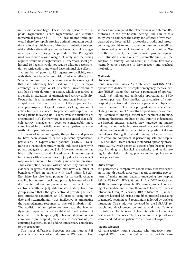injury or haemorrhage. These include episodes of hypoxia, hypotension, acute hypertension and elevated intracranial pressure [\[10-13\]](#page-9-0). An ideal trauma technique would therefore rapidly provide optimal intubation conditions, allowing a high rate of first-pass intubation success, while reliably attenuating excessive haemodynamic changes in all patients requiring the procedure. The RSI agents used would have a wide margin of safety and the dosing regimen would be straightforward. Furthermore, ideal prehospital RSI agents would not require dilution, reconstitution or refrigeration, and would have minimal side effects.

A number of potential RSI agents are available, each with their own benefits and risk of adverse effects [\[14](#page-9-0)]. Suxamethonium is the neuromuscular blocking agent that has traditionally been used for RSI [[8](#page-9-0)]. Its major advantage is a rapid onset of action. Suxamethonium also has a short duration of action, which is regarded as a benefit in situations of unanticipated airway difficulty. Rocuronium is an alternative neuromuscular blocker with a rapid onset of action. It has many of the properties of an ideal pre-hospital RSI agent, however, its long duration of action has been a concern. In practice, wake-up of an injured patient following RSI is rare, even if difficulties are encountered [\[15\]](#page-9-0). Furthermore, it is recognised that difficult airway management becomes considerably more complicated in a partially anaesthetised patient as suxamethonium paralysis wears off.

In terms of induction agents, thiopentone and propofol have been shown to cause significant hypotension, particularly in hypovolaemic patients [\[14,16,17\]](#page-9-0). Ketamine is a haemodynamically stable induction agent with potent analgesic properties [\[18](#page-9-0)]. However, ketamine has historically been contraindicated as an induction agent in patients with suspected head injury due to concerns it may worsen outcome by elevating intracranial pressure. This assumption has not withstood scrutiny and recent evidence suggests that ketamine may have a number of beneficial effects in patients with head injury [\[18-20](#page-9-0)]. Etomidate has also been popular for its cardiovascular stability but its use is declining, probably because of welldocumented adrenal suppression and infrequent use in elective anaesthesia [\[21](#page-9-0)]. Additionally, a study from our group showed that although effective at providing satisfactory intubating conditions, an RSI protocol using etomidate and suxamethonium was ineffective at attenuating the haemodynamic responses to tracheal intubation [[22](#page-9-0)]. The addition of an opiate, to attenuate the haemodynamic response, is an established modification of hospital RSI techniques [[23](#page-10-0)]. This modification is less common in pre-hospital practice due to concerns of precipitating hypotension and adding unnecessary complexity to the procedure.

The major differences between existing trauma RSI protocols are the choice and dose of RSI agents. Few

studies have compared the effectiveness of different RSI protocols in the pre-hospital setting. The aim of this study was to compare the safety and efficacy of two standardised pre-hospital RSI protocols: a traditional protocol using etomidate and suxamethonium and a modified protocol using fentanyl, ketamine and rocuronium. We hypothesised that 1) rocuronium would produce equivalent intubation conditions to suxamethonium; 2) the addition of fentanyl would result in a more favourable haemodynamic response to laryngoscopy and tracheal intubation.

# Methods

### Study setting

Kent, Surrey and Sussex Air Ambulance Trust (KSSAAT) operate two dedicated helicopter emergency medical service (HEMS) teams that service a population of approximately 4.5 million and undertake approximately 1,500 missions per year. Each medical team consists of a prehospital physician and critical-care paramedic. Physicians have a minimum of 5 years postgraduate experience, including a minimum of 6 months hospital anaesthesia training. Paramedics undergo critical-care paramedic training, including theoretical modules on RSI. Prior to independent pre-hospital practice, medical crew undergo an intense training period including structured medical education, training and operational supervision by pre-hospital care consultants. During this period, training is focused to ensure crews are competent at performing safe pre-hospital RSI. The HEMS team adheres to standard operating procedures (SOPs), which govern all aspects of pre-hospital practice, including pre-hospital anaesthesia, and undertake regular simulation training practice in the application of these procedures.

#### Study design

We performed a comparative cohort study over two separate 14-month periods three years apart, comparing two cohorts of major trauma patients undergoing pre-hospital RSI by KSSAAT HEMS. Group 1 (July 2007 to October 2008) underwent pre-hospital RSI using a protocol consisting of etomidate and suxamethonium followed by tracheal intubation. Group 2 (February 2012 to March 2013) underwent pre-hospital RSI using a modified protocol consisting of fentanyl, ketamine and rocuronium followed by tracheal intubation. The study was reviewed by the KSSAAT research and development committee and met National Institute for Health Research Institute criteria for service evaluation. Formal research ethics committee approval was waived and individual patient consent was not required.

#### Patient selection

All consecutive trauma patients who underwent prehospital RSI during the defined study periods were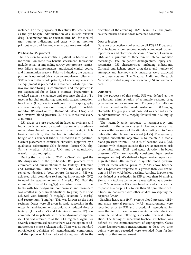included. For the purposes of this study RSI was defined as the pre-hospital administration of a muscle relaxant drug (suxamethonium or rocuronium). RSI for medical (non-trauma) indications and cases with no monitor printout record of haemodynamic data were excluded.

#### Pre-hospital RSI protocol

The decision to anaesthetise a patient is based on an individual on-scene risk-benefit assessment. Indications include actual or impending airway compromise, ventilatory failure, unconsciousness, anticipated clinical course and humanitarian reasons. Prior to induction, the patient's position is optimised (ideally on an ambulance trolley with 360° access to the whole patient), all necessary anaesthesia equipment is prepared in a standard kit-dump, noninvasive monitoring is commenced and the patient is pre-oxygenated for at least 3 minutes. Preparation is checked against a challenge-and-response checklist. To meet in-hospital monitoring standards, oxygen saturation, heart rate (HR), electrocardiogram and capnography are continuously monitored using a Lifepak 15 portable monitor (Physio-Control, Redmond, WA, USA) and non-invasive blood pressure (NIBP) is measured every 3 minutes.

RSI drugs are pre-prepared in labelled syringes and induction is achieved by administration of a predetermined dose based on estimated patient weight. Following induction, the trachea is intubated with a bougie and a tracheal tube is railroaded into position. Correct placement is confirmed clinically, supported by a qualitative colorimetric CO2 detector (Portex CO2 clip, Smiths Medical, Ashford, UK) and by quantitative waveform capnography.

During the last quarter of 2011, KSSAAT changed the RSI drugs used in the pre-hospital RSI protocol from etomidate and suxamethonium to fentanyl, ketamine and rocuronium. Other than this, the RSI protocol remained identical in both cohorts. In group 1, RSI was achieved with etomidate (0.3 mg/kg intravenously (IV)) followed by suxamethonium (1.5 mg/kg IV). Half the etomidate dose (0.15 mg/kg) was administered in patients with haemodynamic compromise and etomidate was omitted in peri-arrest situations. In group 2, RSI was achieved with fentanyl (3 mcg/kg), ketamine (2 mg/kg) and rocuronium (1 mg/kg). This was known as the 3:2:1 regimen. Drugs were all given in rapid succession in the order fentanyl-ketamine-rocuronium. A reduced dose of fentanyl (1 mcg/kg IV) and ketamine (1 mg/kg IV) was administered in patients with haemodynamic compromise. This was referred to as the 1:1:1 regimen. Again, for severely compromised patients there was the option of administering a muscle relaxant only. There was no standard physiological definition of haemodynamic compromise and the option of full or reduced dosing was left to the discretion of the attending HEMS team. In all the protocols the muscle relaxant dose remained constant.

#### Data collection

Data are prospectively collected on all KSSAAT patients. This includes a contemporaneously completed patient report form and electronic database (Aerotech, Horsham, UK), and a printout of three-minute interval monitor recordings. Data on patient demographics, injury characteristics, RSI characteristics (including indications, Cormack and Lehane grade, drug doses and number of attempts) and haemodynamic measures were extracted from these sources. The Trauma Audit and Research Network provided injury severity score (ISS) and outcome data.

#### Definitions

For the purposes of this study, RSI was defined as the pre-hospital administration of a muscle relaxant drug (suxamethonium or rocuronium). For group 1, a full-dose RSI was defined as the co-administration of >0.2 mg/kg etomidate. For group 2, a full-dose RSI was defined as the co-administration of >2 mcg/kg fentanyl and  $\geq$ 1.5 mg/kg ketamine.

The haemodynamic response to laryngoscopy and intubation is the acute change in haemodynamics that occurs within seconds of the stimulus, lasting up to 5 minutes after stimulation has ceased [\[24,25\]](#page-10-0). The generally accepted anaesthetic objective is to maintain a stable blood pressure within 10 to 20% of baseline levels [\[26](#page-10-0)]. Patients with changes outside this are at increased risk of complications [\[27,28\]](#page-10-0) and acute elevations in blood pressure (>20%) are typically considered hypertensive emergencies [\[26](#page-10-0)]. We defined a hypertensive response as a greater than 20% increase in systolic blood pressure (SBP) or mean arterial pressure (MAP) above baseline and a hypotensive response as a greater than 20% reduction in SBP or MAP below baseline. Absolute hypotension was defined as a reduction in SBP to less than 90 mmHg. Similarly, a tachycardic response was defined as a greater than 20% increase in HR above baseline, and a bradycardic response as a drop in HR to less than 60 bpm. These definitions are consistent with other studies investigating the response [[29,30\]](#page-10-0).

Baseline heart rate (HR), systolic blood pressure (SBP) and mean arterial pressure (MAP) measurements were recorded prior to RSI and procedural haemodynamics were the first of these measurements recorded during a 5-minute window following successful tracheal intubation. The timing of successful tracheal intubation was defined by the commencement of capnography. Cases where haemodynamic measurements at these two time points were not recorded were excluded from further analysis of that measurement.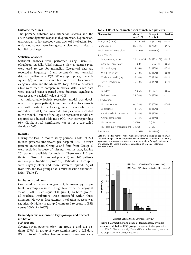### Outcome measures

The primary outcome was intubation success and the acute haemodynamic response (hypertension, hypotension, tachycardia) to laryngoscopy and tracheal intubation. Secondary outcomes were laryngoscopy view and survival to hospital discharge.

#### Statistical analyses

Statistical analyses were performed using Prism 6.0 (Graphpad, La Jolla, USA) software. Normal-quartile plots were used to test for normality. Categorical data are reported as frequency (n) and percent (%) and numerical data as median with IQR. Where appropriate, the chisquare  $(\chi^2)$  or Fisher's exact test were used to compare categorical data and the Mann-Whitney U-test or Student's t-test were used to compare numerical data. Paired data were analysed using a paired t-test. Statistical significance was set as a two-tailed  $P$ -value of <0.05.

A multivariable logistic regression model was developed to compare patient, injury, and RSI factors associated with mortality. Factors significantly associated with mortality  $(P \le 0.1)$  on univariate analysis were included in the model. Results of the logistic regression model are reported as adjusted odds ratio (OR) with corresponding 95% CI. Statistical significance was set as a two-tailed  $P$ -value < $0.05$ .

### Results

During the two 14-month study periods, a total of 274 injured patients underwent pre-hospital RSI. Thirteen patients (nine from Group 2 and four from Group 1) were excluded because of missing monitor data, leaving 261 patients available for analysis. There were 116 patients in Group 1 (standard protocol) and 145 patients in Group 2 (modified protocol). Patients in Group 2 were slightly older and more severely injured. Apart from this, the two groups had similar baseline characteristics (Table 1).

#### Intubating conditions

Compared to patients in group 1, laryngoscopy of patients in group 2 resulted in significantly better laryngeal views ( $P = 0.013$ , chi-square) (Figure 1). In both groups, all tracheal intubations were successful within three attempts. However, first attempt intubation success was significantly higher in group 2 compared to group 1 (95% versus 100%,  $P = 0.007$ ).

# Haemodynamic response to laryngoscopy and tracheal intubation

## Full-dose RSI

Seventy-seven patients (66%) in group 1 and 111 patients (77%) in group 2 were administered a full-dose RSI protocol. Baseline haemodynamic measures were

#### Table 1 Baseline characteristics of included patients

| Characteristic               | Group 1<br>$(n = 116)$ | Group 2<br>$(n = 145)$ | P-value |
|------------------------------|------------------------|------------------------|---------|
| Age, years (range)           | 39 (2 to 99)           | 45 (3 to 83)           | 0.031   |
| Gender, male                 | 86 (74%)               | 102 (70%)              | 0.579   |
| Mechanism of injury, blunt   | 112 (97%)              | 139 (96%)              | 1.0     |
| Injury severity:             |                        |                        |         |
| Injury severity score        | 22 (13 to 34)          | 26 (20 to 38)          | 0.019   |
| Glasgow Coma score           | 11 (6 to 14)           | 9 (5 to 13)            | 0.061   |
| No head injury               | 19 (16%)               | 21 (15%)               | 0.731   |
| Mild head injury             | 35 (30%)               | 17 (12%)               | 0.003   |
| Moderate head injury         | 16 (14%)               | 37 (26%)               | 0.021   |
| Severe head injury           | 46 (40%)               | 70 (48%)               | 0.171   |
| RSI protocol:                |                        |                        |         |
| Full dose                    | 77 (66%)               | 111 (77%)              | 0.069   |
| Reduced dose                 | 39 (34%)               | 34 (23%)               |         |
| RSI indication:              |                        |                        |         |
| Unconsciousness              | 61 (53%)               | 77 (53%)               | 0.742   |
| Vent failure                 | 18 (16%)               | 19 (13%)               |         |
| Anticipated clinical course  | 16 (14%)               | 18 (12%)               |         |
| Airway compromise            | 15 (13%)               | 20 (14%)               |         |
| Humanitarian                 | 3(3%)                  | 2(1%)                  |         |
| Facilitate injury management | 3(3%)                  | 9(6%)                  |         |
| Bougie used                  | 114 (98%)              | 143 (99%)              | 1.0     |

Data presented as number (%) or median (interquartile range) unless otherwise specified. Group 1 underwent pre-hospital rapid sequence intubation (RSI) using a protocol consisting of etomidate and suxamethonium. Group 2 underwent pre-hospital RSI using a protocol consisting of fentanyl, ketamine and rocuronium.

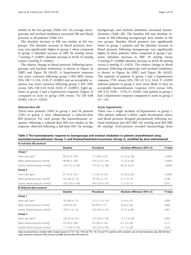similar in the two groups (Table 2A). On average, laryngoscopy and tracheal intubation increased HR and blood pressure in all patients (Table 2A).

The absolute increase in HR was similar in the two groups. The absolute increase in blood pressure, however, was significantly higher in group 1 when compared to group 2 (absolute increase in SBP, 44 mmHg versus 7 mmHg; P <0.0001; absolute increase in MAP, 31 mmHg versus 5 mmHg;  $P < 0.0001$ ).

The relative change in blood pressure, following laryngoscopy and tracheal intubation, is shown in Figure [2](#page-6-0)a (SBP) and Figure [2b](#page-6-0) (MAP). A hypertensive response was more common following group 1 RSI (80% versus 35%; OR 7.5 (3.6, 15.8); P <0.0001) and an acceptable response was most common following group 2 RSI (20% versus 54%; OR 0.22 (0.10, 0.45); P <0.0001). Eight patients in group 2 had a hypotensive response (Figure [3](#page-6-0)) compared to none in group 1(0% versus 7%; OR 0.08  $(0.004, 1.4); P = 0.022$ .

#### Reduced-dose RSI

Thirty-nine patients (34%) in group 1 and 34 patients (23%) in group 2 were administered a reduced-dose RSI protocol. For each group, the haemodynamic response following a reduced-dose RSI was similar to the response observed following a full-dose RSI. On average, laryngoscopy and tracheal intubation increased haemodynamics (Table 2B). The baseline HR and absolute increase in HR following laryngoscopy were similar in the two groups. Baseline blood pressure was significantly lower in group 1 patients and the absolute increase in blood pressure following laryngoscopy was significantly higher in these patients, when compared to group 2 patients (absolute increase in SBP, 29 mmHg versus 9 mmHg;  $P = 0.0008$ ; absolute increase in MAP, 20 mmHg versus 6 mmHg;  $P = 0.013$ ). The relative change in blood pressure, following laryngoscopy and tracheal intubation, is shown in Figure [4](#page-7-0)a (SBP) and Figure [4](#page-7-0)b (MAP). The majority of patients in group 1 had a hypertensive response (75% versus 42%; OR 4.2 (1.2, 14.4);  $P = 0.039$ ) whereas patients in group 2 were more likely to have an acceptable haemodynamic response (21% versus 54%; OR 0.22  $(0.06 - 0.79)$ ;  $P = 0.036$ ). One patient in group 1 had a hypotensive response compared to none in group 2  $(P = 1.0)$ .

#### Acute hypotension

There was a single incident of hypotension in group 1. This patient suffered a blunt, rapid deceleration injury and blood pressure dropped precipitously following tracheal intubation (pre-RSI SBP, 101 mmHg; post-RSI SBP, 68 mmHg). Post-mortem revealed haemorrhage from

Table 2 The haemodynamic response to laryngoscopy and tracheal intubation in patients anaesthetised using etomidate/suxamethonium (Group 1) and fentanyl/ketamine/rocuronium (Group 2), stratified by dose administered

| A) Full-dose RSI protocol                  |                  |                  |                              |          |
|--------------------------------------------|------------------|------------------|------------------------------|----------|
|                                            | <b>Baseline</b>  | Procedural       | Absolute difference (95% CI) | P-value  |
| Group 1                                    |                  |                  |                              |          |
| Heart rate, bpm <sup>a</sup>               | 89 (72 to 104)   | 111 (98 to 132)  | 22 (14 to 38)                | < 0.0001 |
| Mean arterial pressure, mmHg <sup>b</sup>  | 98 (90 to 108)   | 128 (113 to 145) | 31 (15 to 48)                | < 0.0001 |
| Systolic blood pressure, mmHgb             | 129 (114 to 144) | 170 (151 to 196) | 44 (22 to 61)                | < 0.0001 |
| Group 2                                    |                  |                  |                              |          |
| Heart rate, bpm <sup>c</sup>               | 87 (74 to 101)   | 112 (97 to 125)  | 25 (18 to 30)                | < 0.0001 |
| Mean arterial pressure, mmHq <sup>d</sup>  | 102 (90 to 113)  | 107 (91 to 121)  | $5(-1 to 10)$                | 0.148    |
| Systolic blood pressure, mmHg <sup>d</sup> | 133 (120 to 149) | 140 (120 to 155) | $7 (-3 to 11)$               | 0.257    |
| B) Reduced-dose protocol                   |                  |                  |                              |          |
|                                            | <b>Baseline</b>  | Procedural       | Absolute difference (95% CI) | P-value  |
| Group 1                                    |                  |                  |                              |          |
| Heart rate, bpm <sup>e</sup>               | 107 (84 to 121)  | 122 (111 to 137) | 15 (4 to 27)                 | 0.009    |
| Mean arterial pressure, mmHg <sup>t</sup>  | 79 (54 to 95)    | 99 (78 to 117)   | 20 (6 to 36)                 | 0.004    |
| Systolic blood pressure, mmHq <sup>t</sup> | 100 (71 to 115)  | 129 (100 to 147) | 29 (13 to 48)                | 0.001    |
| Group 2                                    |                  |                  |                              |          |
| Heart rate, bpm <sup>9</sup>               | 106 (91 to 131)  | 123 (105 to 143) | $17 (-2 to 28)$              | 0.095    |
| Mean arterial pressure, mmHg <sup>t</sup>  | 95 (70 to 109)   | 101 (89 to 126)  | $6(-3 to 28)$                | 0.117    |
| Systolic blood pressure, mmHg <sup>t</sup> | 117 (104 to 145) | 129 (110 to 149) | $9(-7)$ to 28)               | 0.256    |

Data are presented as median (IQR). Analysis based on <sup>a</sup>74, <sup>b</sup> 66, <sup>c</sup>104 and <sup>d</sup>95, <sup>e</sup>36, <sup>f</sup>24 and <sup>9</sup>31 patients with complete sets of haemodynamic data. **A**) Full-dose rapid sequence induction (RSI) protocol and B) reduced-dose RSI protocol.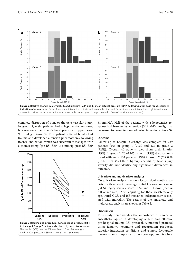<span id="page-6-0"></span>

complete disruption of a major thoracic vascular injury. In group 2, eight patients had a hypotensive response, however, only one patient's blood pressure dropped below 90 mmHg (Figure 3). This patient suffered blunt chest trauma and developed a tension pneumothorax following tracheal intubation, which was successfully managed with a thoracostomy (pre-RSI SBP, 133 mmHg; post-RSI SBP,



68 mmHg). Half of the patients with a hypotensive response had baseline hypertension (SBP >140 mmHg) that decreased to normotension following induction (Figure 3).

# Outcome

Follow up to hospital discharge was complete for 239 patients (105 in group 1 (91%) and 134 in group 2 (92%)). Overall, 46 patients died from their injuries (19%). In group 1, 20 of 105 patients (19%) died, as compared with 26 of 134 patients (19%) in group 2 (OR 0.98 (0.51, 1.87);  $P = 1.0$ ). Subgroup analysis by head injury severity did not identify any significant differences in outcome.

# Univariate and multivariate analyses

On univariate analysis, the only factors significantly associated with mortality were age, initial Glagow coma score (GCS), injury severity score (ISS), and RSI dose (that is, full or reduced). After adjusting for these variables, only age, initial GCS, and ISS remained independently associated with mortality. The results of the univariate and multivariate analysis are shown in Table [3](#page-8-0).

# **Discussion**

This study demonstrates the importance of choice of anaesthetic agent in developing a safe and effective pre-hospital trauma RSI protocol. A modified protocol using fentanyl, ketamine and rocuronium produced superior intubation conditions and a more favourable haemodynamic response to laryngoscopy and tracheal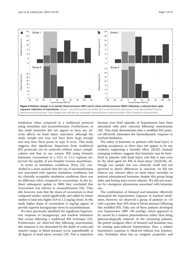<span id="page-7-0"></span>

intubation when compared to a traditional protocol using etomidate and suxamethonium. Furthermore, in this study ketamine did not appear to have any adverse affects on head injury outcomes, although the study sample size may not have been large enough and may have been prone to type II error. This study suggests that significant departures from traditional RSI protocols can be achieved without major complications and that in our system, RSI using fentanyl, ketamine, rocuronium in a 3:2:1 or 1:1:1 regimen improved the quality of pre-hospital trauma anaesthesia.

In terms of intubation conditions, Perry [\[31\]](#page-10-0) concluded in a meta-analysis that the use of suxamethonium was associated with superior intubation conditions, but for clinically acceptable intubation conditions there was no difference when compared to rocuronium. In the authors' subsequent update in 2008, they concluded that rocuronium was inferior to suxamethonium [\[32](#page-10-0)]. They did, however, note that the doses of rocuronium in their compared studies varied significantly and called for future studies to look into higher (0.9 to 1.2 mg/kg) doses. In this study higher doses of rocuronium (1 mg/kg) appear to provide superior laryngoscopy views to suxamethonium.

We have previously identified the significant hypertensive response to laryngoscopy and tracheal intubation that occurs following a traditional RSI technique [\[22](#page-9-0)]. Furthermore, we observed that following neurotrauma, this response is not attenuated by the depth of coma and massive surges in blood pressure occur unpredictably at all degrees of head injury severity [\[33\]](#page-10-0). This is important because even brief episodes of hypertension have been associated with poor outcome following neurotrauma [[34](#page-10-0)]. This study demonstrates that a modified RSI protocol effectively attenuates the haemodynamic response to tracheal intubation.

The safety of ketamine in patients with head injury is gaining acceptance, as there does not appear to be any evidence supporting a harmful effect [\[20,](#page-9-0)[35\]](#page-10-0). Instead, emerging evidence suggests that ketamine may be beneficial to patients with head injury and that it may even be the ideal agent for RSI in head injury [[18](#page-9-0),[20](#page-9-0),[36](#page-10-0)]. Although our sample size was relatively small and not powered to detect differences in outcome, we did not observe any adverse effect on head injury mortality in patients administered ketamine, despite this group being older and having more severe injuries. We did not examine for emergence phenomena associated with ketamine use.

The combination of fentanyl and ketamine effectively attenuated the hypertensive response to tracheal intubation, however, we observed a group of patients  $(n = 8)$ with a greater than 20% drop in blood pressure following this modified RSI. Only one of these patients developed true hypotension (SBP <90 mmHg), which appeared to be caused by a tension pneumothorax rather than being pharmacologically induced. In the remaining patients, the potent analgesic effect of fentanyl and ketamine may be treating pain-induced hypertension, thus, a relative hypotensive response is observed without true hypotension. Etomidate alone has no analgesic properties, and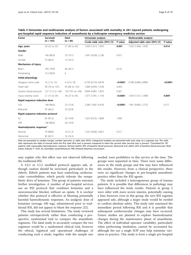| Factor                            | <b>Survived</b><br>$(n = 193)$ | <b>Died</b><br>$(n = 46)$ | Univariate analysis       |          | Multivariable analysis       |          |
|-----------------------------------|--------------------------------|---------------------------|---------------------------|----------|------------------------------|----------|
|                                   |                                |                           | Crude odds ratio (95% CI) | P-value  | Adjusted odds ratio (95% CI) | P-value  |
| Age, years                        | 39 (23 to 55)                  | 51 (40 to 63)             | 1.029 (1.012, 1.047)      | 0.001    | 1.032 (1.006, 1.059)         | 0.016    |
| Gender                            |                                |                           |                           |          |                              |          |
| Male                              | 140 (80.9)                     | 33 (19.1)                 | 1.041 (0.509, 2.128)      | 0.913    |                              |          |
| Female                            | 53 (80.3)                      | 13 (19.7)                 |                           |          |                              |          |
| Mechanism of injury               |                                |                           |                           |          |                              |          |
| Blunt                             | 183 (79.9)                     | 46 (20.1)                 |                           | 0.216    |                              |          |
| Penetrating                       | 10 (100.0)                     | 0                         |                           |          |                              |          |
| Initial physiology                |                                |                           |                           |          |                              |          |
| Glasgow coma scale                | 10 (7 to 13)                   | 4(3 to 10)                | 0.759 (0.724, 0.874)      | < 0.0001 | 0.780 (0.680, 0.896)         | < 0.0001 |
| Heart rate                        | 90 (76 to 107)                 | 95 (68 to 125)            | 1.006 (0.993, 1.018)      | 0.363    |                              |          |
| Systolic blood pressure           | 127 (112 to 144)               | 120 (101 to 144)          | 0.994(0.981, 1.007)       | 0.361    |                              |          |
| Injury severity score             | 21 (13 to 34)                  | 34 (27 to 43)             | 1.077 (1.041, 1.114)      | < 0.0001 | 1.054 (1.013, 1.098)         | 0.009    |
| Rapid sequence induction dose     |                                |                           |                           |          |                              |          |
| Full                              | 148 (86.6)                     | 23 (13.4)                 | 3.289 (1.687, 6.410)      | < 0.0001 | 1.901 (0.685, 5.272)         | 0.217    |
| Reduced                           | 45 (66.2)                      | 23 (33.8)                 |                           |          |                              |          |
| Rapid sequence induction protocol |                                |                           |                           |          |                              |          |
| ES                                | 85 (81.0)                      | 20 (19.0)                 | 1.023 (0.535, 1.869)      | 1.000    |                              |          |
| <b>FKR</b>                        | 108 (80.6)                     | 26 (19.4)                 |                           |          |                              |          |
| Haemodynamic response*            |                                |                           |                           |          |                              |          |
| Normal                            | 79 (88.8)                      | 10(11.2)                  | 1.541 (0.660, 3.601)      | 0.317    |                              |          |
| Abnormal                          | 82 (83.7)                      | 16(16.3)                  |                           |          |                              |          |

<span id="page-8-0"></span>

| Table 3 Univariate and multivariate analysis of factors associated with mortality in 261 injured patients undergoing |  |
|----------------------------------------------------------------------------------------------------------------------|--|
| pre-hospital rapid sequence induction of anaesthesia by a helicopter emergency medicine service                      |  |

Data are presented as median (range), number (percent), or odds ratio (95%). Categorical variables are presented with each state on a separate row. The odds ratio represents the odds of survival when the first state (first row) is present compared to when the second state (second row) is present. \*Calculated for 187 patients with measurable haemodynamic response. Normal (within 20% of baseline blood pressure), Abnormal (not within 20% of baseline blood pressure). Bold values indicate  $P < 0.05$ . ES, etomidate suxamethonium; FKR, fentanyl ketamine rocuronium.

may explain why this effect was not observed following the traditional RSI.

A 3:2:1 or 1:1:1 modified protocol appears safe, although caution should be exercised, particularly in the elderly. Elderly patients may have underlying cardiovascular comorbidities, which poorly tolerate the sympathetic drive of ketamine. This group of patients warrants further investigation. A number of pre-hospital services use an RSI protocol that combines ketamine and a neuromuscular blocker, without an opiate. It is unclear whether this protocol is effective at blunting potentially harmful haemodynamic responses. An analgesic dose of ketamine (average 100 mg), administered prior to traditional RSI, did not appear to blunt the response [\[22\]](#page-9-0).

This study has several limitations. The study reviewed patients retrospectively rather than conducting a prospective, randomised trial to compare the anaesthetic regimens. The ideal study to accurately compare the two regimens would be a randomised clinical trial, however the ethical, logistical and operational challenges of conducting such a study, together with the sample size needed, were prohibitive to this service at the time. The groups were separated in time. There were some differences in the study groups and this may have influenced the results. However, from a clinical perspective, there were no significant changes in pre-hospital anaesthetic practice other than the RSI agents.

The study included a heterogeneous group of trauma patients. It is possible that differences in pathology may have influenced the study results. Patients in group 2 were older with more severe injuries, potentially causing a bias; however, even in this group, the new RSI regimen appeared safe, although a larger study would be needed to confirm absolute safety. This study only examined the immediate period following RSI and it is possible that subsequent cardiovascular changes may have occurred. Future studies are planned to explore haemodynamic changes during the maintenance phase of anaesthesia. The effect of individual operator variability, particularly when performing intubation, cannot be accounted for, although the use a single SOP may help minimise variation in practice. This study is from a single pre-hospital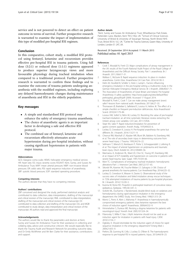<span id="page-9-0"></span>service and is not powered to detect an effect on patient outcome in terms of survival. Further prospective research is warranted to examine the impact of implementation of this type of modified pre-hospital RSI regimen.

### Conclusion

In this comparative, cohort study, a modified RSI protocol using fentanyl, ketamine and rocuronium provides effective pre-hospital RSI in trauma patients. Using full dose (3:2:1) or reduced dose (1:1:1) regimens appeared to produce superior laryngoscopy views and more favourable physiology during tracheal intubation when compared to a traditional protocol. Further prospective research is warranted to confirm these findings and to examine the outcome of trauma patients undergoing anaesthesia with the modified regimen, including exploring any delayed haemodynamic changes during maintenance of anaesthesia and RSI in the elderly population.

#### Key messages

- A simple and standardised RSI protocol may enhance the safety of emergency trauma anaesthesia.
- The choice of anaesthetic agents is an important factor in developing a safe and effective RSI protocol.
- The combined use of fentanyl, ketamine and rocuronium effectively attenuates acute hypertension during pre-hospital intubation, without causing significant hypotension in patients with major trauma.

#### Abbreviations

GCS: Glasgow coma scale; HEMS: helicopter emergency medical service; HR: heart rate; ISS: injury severity score; KSSAAT: Kent, Surrey, and Sussex Air Ambulance Trust; MAP: mean arterial pressure; NIBP: non-invasive blood pressure; OR: odds ratio; RSI: rapid sequence induction of anaesthesia; SBP: systolic blood pressure; SOP: standard operating procedure.

#### Competing interests

The authors declare that they have no competing interests.

#### Authors' contributions

ZBP conceived and designed the study, performed statistical analysis and contributed to data collection, data interpretation, drafting of the manuscript and critical revision of the manuscript. RML contributed to data interpretation, drafting of the manuscript and critical revision of the manuscript. DC contributed to data collection and drafting of the manuscript. DJL and MQR contributed to study design, data interpretation and critical revision of the manuscript. All authors read and approved the final manuscript.

#### Acknowledgements

The authors would like to thank the paramedics and doctors at Kent, Surrey and Sussex Air Ambulance Trust for their assistance in collecting and collating data, advice and constructive criticism. We would especially like to thank the Trauma Audit and Research Network for providing outcome data, and Dr Emily McWhirter and Mr Ben Clarke for their assistance, contributions and support.

#### Author details

<sup>1</sup> Kent, Surrey and Sussex Air Ambulance Trust, Wheelbarrow Park Estate Pattenden Lane, Marden, Kent TN12 9QJ, UK. <sup>2</sup>School of Clinical Sciences University of Bristol & University of Stavanger Norway, North Bristol NHS Trust, Bristol BS16 1LE, UK. <sup>3</sup>Centre for Trauma Sciences, Queen Mary, University of London, London E1 2AT, UK.

#### Received: 29 September 2014 Accepted: 11 March 2015 Published online: 01 April 2015

#### References

- 1. Cook T, Woodall N, Frerk CO. Major complications of airway management in the UK: results of the Fourth National Audit Project of the Royal College of Anaesthetists and the Difficult Airway Society. Part 1: anaesthesia. Br J Anaesth. 2011;106:617–31.
- 2. Wallace C, McGuire B. Rapid sequence induction: its place in modern anaesthesia. Contin Educ Anaesthesia Crit Care Pain. 2014;14:130–5.
- Helm M, Hossfeld B, Schäfer S, Hoitz J, Lampl L. Factors influencing emergency intubation in the pre-hospital setting–a multicentre study in the German Helicopter Emergency Medical Service. Br J Anaesth. 2006;96:67–71.
- 4. The Association of Anaesthetists of Great Britain and Ireland. Pre-hospital Anaesthesia: A safety guideline. [http://www.asgbi.org/sites/default/files/](http://www.asgbi.org/sites/default/files/prehospital_glossy09.pdf) [prehospital\\_glossy09.pdf](http://www.asgbi.org/sites/default/files/prehospital_glossy09.pdf) (2009). Accessed 17 August 2014.
- 5. Woodall N, Frerk C, Cook T. Can we make airway management (even) safer?–lessons from national audit. Anaesthesia. 2011;66:27–33.
- 6. Thomassen Ø, Brattebø G, Søfteland E, Lossius H, Heltne JK. The effect of a simple checklist on frequent pre-induction deficiencies. Acta Anaesthesiol Scand. 2010;54:1179–84.
- 7. Lossius HM, Sollid SJ, Rehn M, Lockey DJ. Revisiting the value of pre-hospital tracheal intubation: an all time systematic literature review extracting the Utstein airway core variables. Crit Care. 2011;15:R26.
- 8. Stept WJ, Safar P. Rapid induction/intubation for prevention of gastric-content aspiration. Anesth Analg. 1970;49:633–6.
- 9. Lockey D, Crewdson K, Lossius H. Pre-hospital anaesthesia: the same but different. Br J Anaesth. 2014;113:211–9.
- 10. Chesnut RM, Marshall LF, Klauber MR, Blunt BA, Baldwin N, Eisenberg HM, et al. The role of secondary brain injury in determining outcome from severe head injury. J Trauma. 1993;34:216–22.
- 11. Sellmann T, Miersch D, Kienbaum P, Flohe S, Schneppendahl J, Lefering R, et al. The impact of arterial hypertension on polytrauma and traumatic brain injury. Dtsch Arztebl Int. 2012;109:849–56.
- 12. Marmarou A, Anderson RL, Ward JD, Choi SC, Young HF, Eisenberg HM, et al. Impact of ICP instability and hypotension on outcome in patients with severe head trauma. Spec Suppl. 1991;75:S59–66.
- 13. Mort TC. Complications of emergency tracheal intubation: hemodynamic alterations-Part I. J Intensive Care Med. 2007;22:157–65.
- 14. Sikorski RA, Koerner AK, Fouche-Weber LY, Galvagno Jr SM. Choice of general anesthetics for trauma patients. Curr Anesthesiol Rep. 2014;4:225–32.
- 15. Lockey D, Crewdson K, Weaver A, Davies G. Observational study of the success rates of intubation and failed intubation airway rescue techniques in 7256 attempted intubations of trauma patients by pre-hospital physicians. Br J Anaesth. 2014;113:220–5.
- 16. Kuisma M, Roine RO. Propofol in prehospital treatment of convulsive status epilepticus. Epilepsia. 1995;36:1241–3.
- 17. Sivilotti ML, Ducharme J. Randomized, double-blind study on sedatives and hemodynamics during rapid-sequence intubation in the emergency department: the SHRED Study. Ann Emerg Med. 1998;31:313–24.
- 18. Morris C, Perris A, Klein J, Mahoney P. Anaesthesia in haemodynamically compromised emergency patients: does ketamine represent the best choice of induction agent? Anaesthesia. 2009;64:532–9.
- 19. Himmelseher S, Durieux ME. Revising a dogma: ketamine for patients with neurological injury? Anesth Anal. 2005;101:524–34.
- 20. Filanovsky Y, Miller P, Kao J. Myth: ketamine should not be used as an induction agent for intubation in patients with head injury. CJEM. 2010;12:154–7.
- 21. Oglesby A. Should etomidate be the induction agent of choice for rapid sequence intubation in the emergency department? Emerg Med J. 2004;21:655–9.
- 22. Perkins ZB, Gunning M, Crilly J, Lockey D, O'Brien B. The haemodynamic response to pre-hospital RSI in injured patients. Injury. 2013;44:618–23.